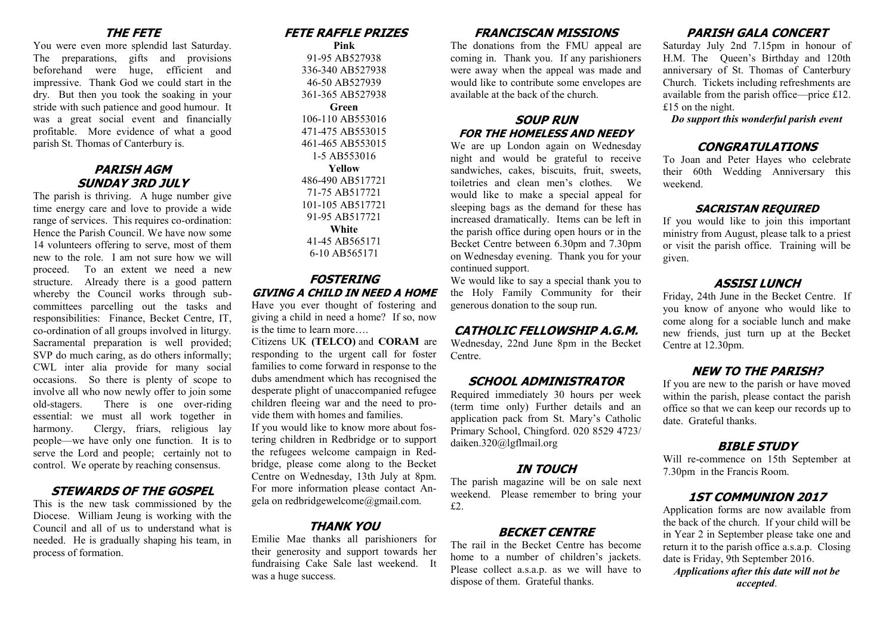#### **THE FETE**

You were even more splendid last Saturday. The preparations, gifts and provisions beforehand were huge, efficient and impressive. Thank God we could start in the dry. But then you took the soaking in your stride with such patience and good humour. It was a great social event and financially profitable. More evidence of what a good parish St. Thomas of Canterbury is.

### **PARISH AGM SUNDAY 3RD JULY**

The parish is thriving. A huge number give time energy care and love to provide a wide range of services. This requires co-ordination: Hence the Parish Council. We have now some 14 volunteers offering to serve, most of them new to the role. I am not sure how we will proceed. To an extent we need a new structure. Already there is a good pattern whereby the Council works through subcommittees parcelling out the tasks and responsibilities: Finance, Becket Centre, IT, co-ordination of all groups involved in liturgy. Sacramental preparation is well provided; SVP do much caring, as do others informally; CWL inter alia provide for many social occasions. So there is plenty of scope to involve all who now newly offer to join some old-stagers. There is one over-riding essential: we must all work together in harmony. Clergy, friars, religious lay people—we have only one function. It is to serve the Lord and people; certainly not to control. We operate by reaching consensus.

### **STEWARDS OF THE GOSPEL**

This is the new task commissioned by the Diocese. William Jeung is working with the Council and all of us to understand what is needed. He is gradually shaping his team, in process of formation.

# **FETE RAFFLE PRIZES**

**Pink** 91-95 AB527938 336-340 AB527938 46-50 AB527939 361-365 AB527938 **Green** 106-110 AB553016 471-475 AB553015 461-465 AB553015 1-5 AB553016 **Yellow** 486-490 AB517721 71-75 AB517721 101-105 AB517721 91-95 AB517721 **White** 41-45 AB565171 6-10 AB565171

### **FOSTERING GIVING A CHILD IN NEED A HOME**

Have you ever thought of fostering and giving a child in need a home? If so, now is the time to learn more….

Citizens UK **(TELCO)** and **CORAM** are responding to the urgent call for foster families to come forward in response to the dubs amendment which has recognised the desperate plight of unaccompanied refugee children fleeing war and the need to provide them with homes and families.

If you would like to know more about fostering children in Redbridge or to support the refugees welcome campaign in Redbridge, please come along to the Becket Centre on Wednesday, 13th July at 8pm. For more information please contact Angela on redbridgewelcome@gmail.com.

## **THANK YOU**

Emilie Mae thanks all parishioners for their generosity and support towards her fundraising Cake Sale last weekend. It was a huge success.

### **FRANCISCAN MISSIONS**

The donations from the FMU appeal are coming in. Thank you. If any parishioners were away when the appeal was made and would like to contribute some envelopes are available at the back of the church.

#### **SOUP RUN FOR THE HOMELESS AND NEEDY**

We are up London again on Wednesday night and would be grateful to receive sandwiches, cakes, biscuits, fruit, sweets, toiletries and clean men's clothes. We would like to make a special appeal for sleeping bags as the demand for these has increased dramatically. Items can be left in the parish office during open hours or in the Becket Centre between 6.30pm and 7.30pm on Wednesday evening. Thank you for your continued support.

We would like to say a special thank you to the Holy Family Community for their generous donation to the soup run.

## **CATHOLIC FELLOWSHIP A.G.M.**

Wednesday, 22nd June 8pm in the Becket Centre.

## **SCHOOL ADMINISTRATOR**

Required immediately 30 hours per week (term time only) Further details and an application pack from St. Mary's Catholic Primary School, Chingford. 020 8529 4723/ daiken.320@lgflmail.org

### **IN TOUCH**

The parish magazine will be on sale next weekend. Please remember to bring your £2.

## **BECKET CENTRE**

The rail in the Becket Centre has become home to a number of children's jackets. Please collect a.s.a.p. as we will have to dispose of them. Grateful thanks.

# **PARISH GALA CONCERT**

Saturday July 2nd 7.15pm in honour of H.M. The Queen's Birthday and 120th anniversary of St. Thomas of Canterbury Church. Tickets including refreshments are available from the parish office—price £12. £15 on the night.

*Do support this wonderful parish event*

## **CONGRATULATIONS**

To Joan and Peter Hayes who celebrate their 60th Wedding Anniversary this weekend.

#### **SACRISTAN REQUIRED**

If you would like to join this important ministry from August, please talk to a priest or visit the parish office. Training will be given.

#### **ASSISI LUNCH**

Friday, 24th June in the Becket Centre. If you know of anyone who would like to come along for a sociable lunch and make new friends, just turn up at the Becket Centre at 12.30pm.

## **NEW TO THE PARISH?**

If you are new to the parish or have moved within the parish, please contact the parish office so that we can keep our records up to date. Grateful thanks.

### **BIBLE STUDY**

Will re-commence on 15th September at 7.30pm in the Francis Room.

## **1ST COMMUNION 2017**

Application forms are now available from the back of the church. If your child will be in Year 2 in September please take one and return it to the parish office a.s.a.p. Closing date is Friday, 9th September 2016.

*Applications after this date will not be accepted*.